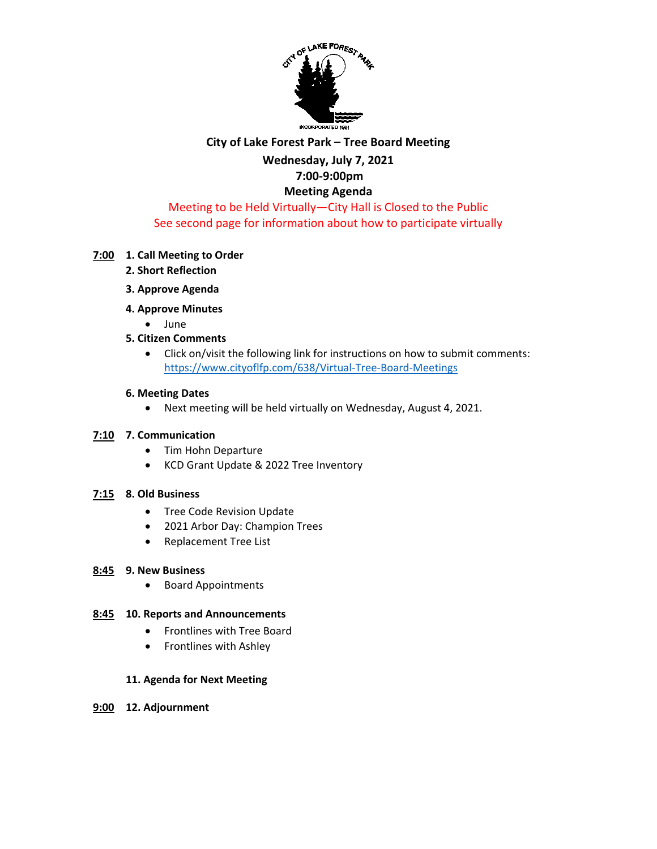

# **City of Lake Forest Park – Tree Board Meeting**

### **Wednesday, July 7, 2021 7:00-9:00pm**

# **Meeting Agenda**

# Meeting to be Held Virtually—City Hall is Closed to the Public See second page for information about how to participate virtually

### **7:00 1. Call Meeting to Order**

- **2. Short Reflection**
- **3. Approve Agenda**
- **4. Approve Minutes** 
	- June
- **5. Citizen Comments**
	- Click on/visit the following link for instructions on how to submit comments: <https://www.cityoflfp.com/638/Virtual-Tree-Board-Meetings>

#### **6. Meeting Dates**

• Next meeting will be held virtually on Wednesday, August 4, 2021.

#### **7:10 7. Communication**

- Tim Hohn Departure
- KCD Grant Update & 2022 Tree Inventory

## **7:15 8. Old Business**

- Tree Code Revision Update
- 2021 Arbor Day: Champion Trees
- Replacement Tree List

#### **8:45 9. New Business**

• Board Appointments

#### **8:45 10. Reports and Announcements**

- Frontlines with Tree Board
- Frontlines with Ashley

#### **11. Agenda for Next Meeting**

**9:00 12. Adjournment**